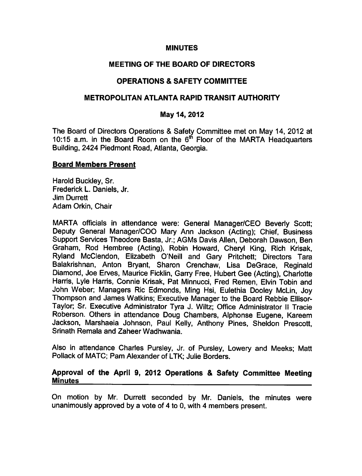#### **MINUTES**

### MEETING OF THE BOARD OF DIRECTORS

## **OPERATIONS & SAFETY COMMITTEE**

### METROPOLITAN ATLANTA RAPID TRANSIT AUTHORITY

#### May 14, 2012

The Board of Directors Operations & Safety Committee met on May 14, 2012 at 10:15 a.m. in the Board Room on the  $6<sup>th</sup>$  Floor of the MARTA Headquarters Building, 2424 Piedmont Road, Atlanta, Georgia.

#### Board Members Present

Harold Buckley, Sr. Frederick L. Daniels, Jr. Jim Durrett Adam Orkin, Chair

MARTA officials in attendance were: General Manager/CEO Beverly Scott; Deputy General Manager/COO Mary Ann Jackson (Acting); Chief, Business Support Services Theodore Basta, Jr.; AGMs Davis Allen, Deborah Dawson, Ben Graham, Rod Hembree (Acting), Robin Howard, Cheryl King, Rich Krisak, Ryland McClendon, Elizabeth O'Neill and Gary Pritchett; Directors Tara Balakrishnan, Anton Bryant, Sharon Crenchaw, Lisa DeGrace, Reginald Diamond, Joe Erves, Maurice Ficklin, Garry Free, Hubert Gee (Acting), Charlotte Harris, Lyle Harris, Connie Krisak, Pat Minnucci, Fred Remen, Elvin Tobin and John Weber; Managers Ric Edmonds, Ming Hsi, Eulethia Dooley McLin, Joy Thompson and James Watkins; Executive Manager to the Board Rebbie Ellisor-Taylor; Sr. Executive Administrator Tyra J. Wiltz; Office Administrator II Tracie Roberson. Others in attendance Doug Chambers, Alphonse Eugene, Kareem Jackson, Marshaeia Johnson, Paul Kelly, Anthony Pines, Sheldon Prescott, Srinath Remala and Zaheer Wadhwania.

Also in attendance Charles Pursley, Jr. of Pursley, Lowery and Meeks; Matt Pollack of MATC; Pam Alexander of LTK; Julie Borders.

#### Approval of the April 9, 2012 Operations & Safety Committee Meeting **Minutes**

On motion by Mr. Durrett seconded by Mr. Daniels, the minutes were unanimously approved by a vote of 4 to 0, with 4 members present.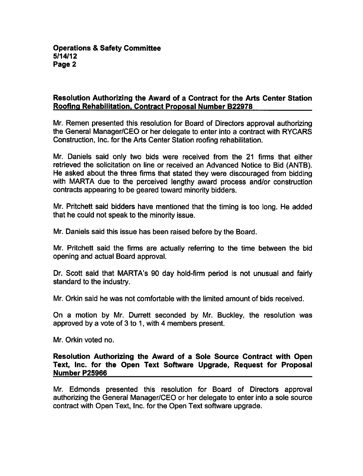# Resolution Authorizing the Award of a Contract for the Arts Center Station Roofing Rehabilitation. Contract Proposal Number B22978

Mr. Remen presented this resolution for Board of Directors approval authorizing the General Manager/CEO or her delegate to enter into a contract with RYCARS Construction, Inc. for the Arts Center Station roofing rehabilitation.

Mr. Daniels said only two bids were received from the 21 firms that either retrieved the solicitation on line or received an Advanced Notice to Bid (ANTB). He asked about the three firms that stated they were discouraged from bidding with MARTA due to the perceived lengthy award process and/or construction contracts appearing to be geared toward minority bidders.

Mr. Pritchett said bidders have mentioned that the timing is too long. He added that he could not speak to the minority issue.

Mr. Daniels said this issue has been raised before by the Board.

Mr. Pritchett said the firms are actually referring to the time between the bid opening and actual Board approval.

Dr. Scott said that MARTA's 90 day hold-firm period is not unusual and fairly standard to the industry.

Mr. Orkin said he was not comfortable with the limited amount of bids received.

On a motion by Mr. Durrett seconded by Mr. Buckley, the resolution was approved by a vote of 3 to 1, with 4 members present.

Mr. Orkin voted no.

## Resolution Authorizing the Award of a Sole Source Contract with Open Text, Inc. for the Open Text Software Upgrade, Request for Proposal Number P25966

Mr. Edmonds presented this resolution for Board of Directors approval authorizing the General Manager/CEO or her delegate to enter into a sole source contract with Open Text, Inc. for the Open Text software upgrade.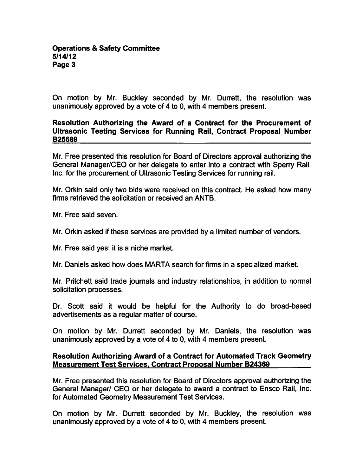On motion by Mr. Buckley seconded by Mr. Durrett, the resolution was unanimously approved by a vote of 4 to 0, with 4 members present.

## Resolution Authorizing the Award of a Contract for the Procurement of Ultrasonic Testing Services for Running Rail, Contract Proposal Number B25689

Mr. Free presented this resolution for Board of Directors approval authorizing the General Manager/CEO or her delegate to enter into a contract with Sperry Rail, Inc. for the procurement of Ultrasonic Testing Services for running rail.

Mr. Orkin said only two bids were received on this contract. He asked how many firms retrieved the solicitation or received an ANTB.

Mr. Free said seven.

Mr. Orkin asked if these services are provided by a limited number of vendors.

Mr. Free said yes; it is a niche market.

Mr. Daniels asked how does MARTA search for firms in a specialized market.

Mr. Pritchett said trade journals and industry relationships, in addition to normal solicitation processes.

Dr. Scott said it would be helpful for the Authority to do broad-based advertisements as a regular matter of course.

On motion by Mr. Durrett seconded by Mr. Daniels, the resolution was unanimously approved by a vote of 4 to 0, with 4 members present.

# Resolution Authorizing Award of a Contract for Automated Track Geometry Measurement Test Services. Contract Proposal Number B24369

Mr. Free presented this resolution for Board of Directors approval authorizing the General Manager/ CEO or her delegate to award a contract to Ensco Rail, Inc. for Automated Geometry Measurement Test Services.

On motion by Mr. Durrett seconded by Mr. Buckley, the resolution was unanimously approved by a vote of 4 to 0, with 4 members present.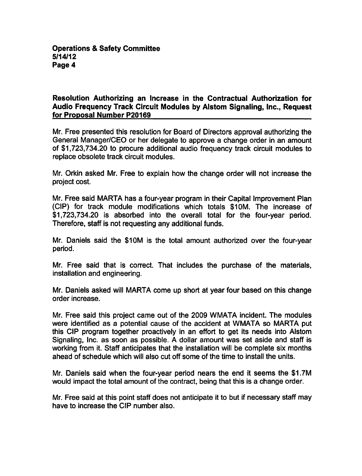## Resolution Authorizing an Increase in the Contractual Authorization for Audio Frequency Track Circuit Modules by Alstom Signaling, Inc., Request for Proposal Number P20169

Mr. Free presented this resolution for Board of Directors approval authorizing the General Manager/CEO or her delegate to approve a change order in an amount of \$1,723,734.20 to procure additional audio frequency track circuit modules to replace obsolete track circuit modules.

Mr. Orkin asked Mr. Free to explain how the change order will not increase the project cost.

Mr. Free said MARTA has a four-year program in their Capital Improvement Plan (CIP) for track module modifications which totals \$10M. The increase of \$1,723,734.20 is absorbed into the overall total for the four-year period. Therefore, staff is not requesting any additional funds.

Mr. Daniels said the \$10M is the total amount authorized over the four-year period.

Mr. Free said that is correct. That includes the purchase of the materials, installation and engineering.

Mr. Daniels asked will MARTA come up short at year four based on this change order increase.

Mr. Free said this project came out of the 2009 WMATA incident. The modules were identified as a potential cause of the accident at WMATA so MARTA put this CIP program together proactively in an effort to get its needs into Alstom Signaling, Inc. as soon as possible. A dollar amount was set aside and staff is working from it. Staff anticipates that the installation will be complete six months ahead of schedule which will also cut off some of the time to install the units.

Mr. Daniels said when the four-year period nears the end it seems the \$1.7M would impact the total amount of the contract, being that this is a change order.

Mr. Free said at this point staff does not anticipate it to but if necessary staff may have to increase the CIP number also.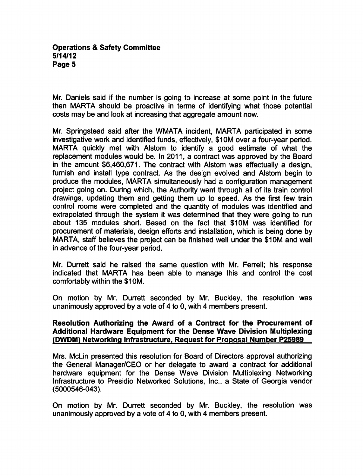### **Operations & Safety Committee** 5/14/12 Page 5

Mr. Daniels said if the number is going to increase at some point in the future then MARTA should be proactive in terms of identifying what those potential costs may be and look at increasing that aggregate amount now.

Mr. Springstead said after the WMATA incident, MARTA participated in some investigative work and identified funds, effectively, \$10M over a four-year period. MARTA quickly met with Alstom to identify a good estimate of what the replacement modules would be. In 2011, a contract was approved by the Board in the amount  $$6,460,671$ . The contract with Alstom was effectually a design, furnish and install type contract. As the design evolved and Alstom begin to produce the modules, MARTA simultaneously had configuration management project going on. During which, the Authority went through all of its train control drawings, updating them and getting them up to speed. As the first few train control rooms were completed and the quantity of modules was identified and extrapolated through the system it was determined that they were going to run about 135 modules short. Based on the fact that \$10M was identified for procurement of materials, design efforts and installation, which is being done by MARTA, staff believes the project can be finished well under the \$10M and well in advance of the four-year period.

Mr. Durrett said he raised the same question with Mr. Ferrell; his response indicated that MARTA has been able to manage this and control the cost comfortably within the \$10M.

On motion by Mr. Durrett seconded by Mr. Buckley, the resolution was unanimously approved by a vote of 4 to 0, with 4 members present.

## Resolution Authorizing the Award of a Contract for the Procurement of Additional Hardware Equipment for the Dense Wave Division Multiplexing (DWDM) Networking Infrastructure. Request for Proposal Number P25989

Mrs. McLin presented this resolution for Board of Directors approval authorizing the General Manager/CEO or her delegate to award a contract for additional hardware equipment for the Dense Wave Division Multiplexing Networking Infrastructure to Presidio Networked Solutions, Inc., a State of Georgia vendor (5000546-043).

On motion by Mr. Durrett seconded by Mr. Buckley, the resolution was unanimously approved by a vote of 4 to 0, with 4 members present.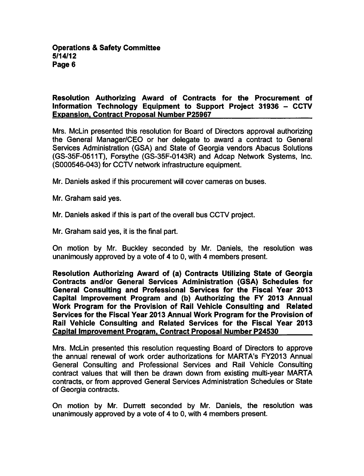## Resolution Authorizing Award of Contracts for the Procurement of Information Technology Equipment to Support Project 31936  $-$  CCTV Expansion. Contract Proposal Number P25967

Mrs. McLin presented this resolution for Board of Directors approval authorizing the General Manager/CEO or her delegate to award a contract to General Services Administration (GSA) and State of Georgia vendors Abacus Solutions (GS-35F-0511T), Forsythe (GS-35F-0143R) and Adcap Network Systems, Inc. (S000546-043) for CCTV network infrastructure equipment.

Mr. Daniels asked if this procurement will cover cameras on buses.

Mr. Graham said yes.

Mr. Daniels asked if this is part of the overall bus CCTV project.

Mr. Graham said yes, it is the final part.

On motion by Mr. Buckley seconded by Mr. Daniels, the resolution was unanimously approved by a vote of 4 to 0, with 4 members present.

Resolution Authorizing Award of (a) Contracts Utilizing State of Georgia Contracts and/or General Services Administration (GSA) Schedules for General Consulting and Professional Services for the Fiscal Year 2013 Capital Improvement Program and (b) Authorizing the FY 2013 Annual Work Program for the Provision of Rail Vehicle Consulting and Related Services for the Fiscal Year 2013 Annual Work Program for the Provision of Rail Vehicle Consulting and Related Services for the Fiscal Year 2013 Capital Improvement Program. Contract Proposal Number P24530

Mrs. McLin presented this resolution requesting Board of Directors to approve the annual renewal of work order authorizations for MARTA's FY2013 Annual General Consulting and Professional Services and Rail Vehicle Consulting contract values that will then be drawn down from existing multi-year MARTA contracts, or from approved General Services Administration Schedules or State of Georgia contracts.

On motion by Mr. Durrett seconded by Mr. Daniels, the resolution was unanimously approved by a vote of  $4$  to 0, with  $4$  members present.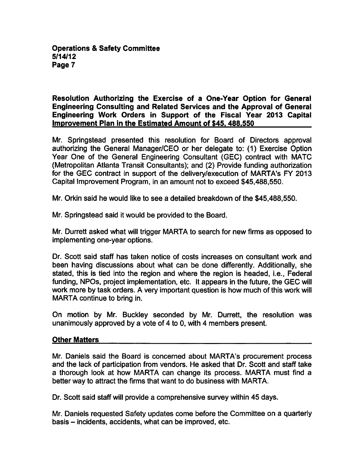Resolution Authorizing the Exercise of a One-Year Option for General Engineering Consulting and Related Services and the Approval of General Engineering Work Orders in Support of the Fiscal Year 2013 Capital Improvement Plan in the Estimated Amount of \$45.488.550

Mr. Springstead presented this resolution for Board of Directors approval authorizing the General Manager/CEO or her delegate to: (1) Exercise Option Year One of the General Engineering Consultant (GEC) contract with MATC (Metropolitan Atlanta Transit Consultants); and (2) Provide funding authorization for the GEC contract in support of the delivery/execution of MARTA's FY 2013 Capital Improvement Program, in an amount not to exceed \$45,488,550.

Mr. Orkin said he would like to see detailed breakdown of the \$45,488,550.

Mr. Springstead said it would be provided to the Board.

Mr. Durrett asked what will trigger MARTA to search for new firms as opposed to implementing one-year options.

Dr. Scott said staff has taken notice of costs increases on consultant work and been having discussions about what can be done differently. Additionally, she stated, this is tied into the region and where the region is headed, i.e., Federal funding, NPOs, project implementation, etc. It appears in the future, the GEC will work more by task orders. A very important question is how much of this work will MARTA continue to bring in.

On motion by Mr. Buckley seconded by Mr. Durrett, the resolution was unanimously approved by a vote of 4 to 0, with 4 members present.

# Other Matters

Mr. Daniels said the Board is concerned about MARTA's procurement process and the lack of participation from vendors. He asked that Dr. Scott and staff take a thorough look at how MARTA can change its process. MARTA must find a better way to attract the firms that want to do business with MARTA.

Dr. Scott said staff will provide a comprehensive survey within 45 days.

Mr. Daniels requested Safety updates come before the Committee on a quarterly basis - incidents, accidents, what can be improved, etc.